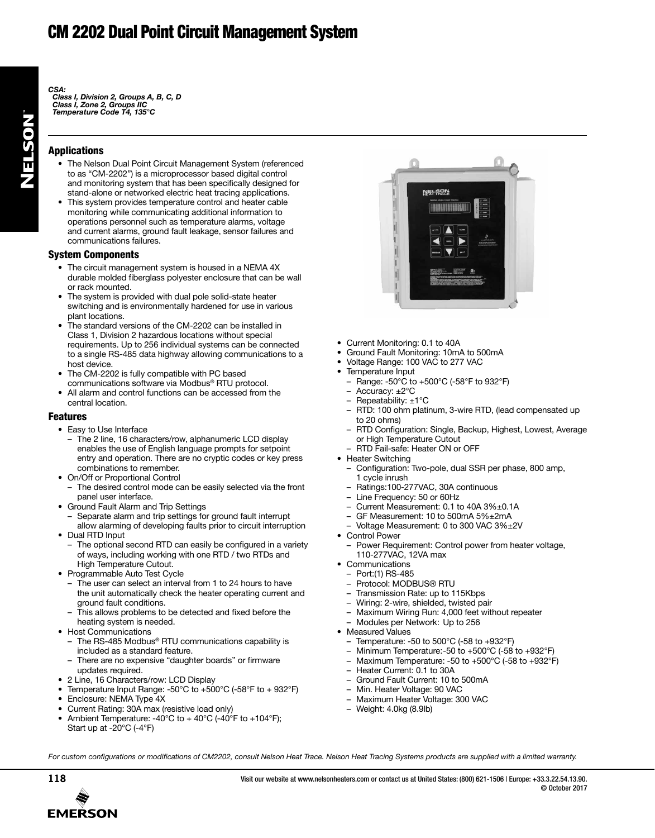# CM 2202 Dual Point Circuit Management System

*CSA:*

*Class I, Division 2, Groups A, B, C, D Class I, Zone 2, Groups IIC Temperature Code T4, 135°C*

### Applications

- The Nelson Dual Point Circuit Management System (referenced to as "CM-2202") is a microprocessor based digital control and monitoring system that has been specifically designed for stand-alone or networked electric heat tracing applications.
- This system provides temperature control and heater cable monitoring while communicating additional information to operations personnel such as temperature alarms, voltage and current alarms, ground fault leakage, sensor failures and communications failures.

#### System Components

- The circuit management system is housed in a NEMA 4X durable molded fiberglass polyester enclosure that can be wall or rack mounted.
- The system is provided with dual pole solid-state heater switching and is environmentally hardened for use in various plant locations.
- The standard versions of the CM-2202 can be installed in Class 1, Division 2 hazardous locations without special requirements. Up to 256 individual systems can be connected to a single RS-485 data highway allowing communications to a host device.
- The CM-2202 is fully compatible with PC based communications software via Modbus® RTU protocol.
- All alarm and control functions can be accessed from the central location.

#### Features

- Easy to Use Interface
- The 2 line, 16 characters/row, alphanumeric LCD display enables the use of English language prompts for setpoint entry and operation. There are no cryptic codes or key press combinations to remember.
- On/Off or Proportional Control – The desired control mode can be easily selected via the front panel user interface.
- Ground Fault Alarm and Trip Settings
	- Separate alarm and trip settings for ground fault interrupt
- allow alarming of developing faults prior to circuit interruption • Dual RTD Input
- The optional second RTD can easily be configured in a variety of ways, including working with one RTD / two RTDs and High Temperature Cutout.
- Programmable Auto Test Cycle
	- The user can select an interval from 1 to 24 hours to have the unit automatically check the heater operating current and ground fault conditions.
	- This allows problems to be detected and fixed before the heating system is needed.
- Host Communications
	- The RS-485 Modbus<sup>®</sup> RTU communications capability is included as a standard feature.
	- There are no expensive "daughter boards" or firmware updates required.
- 2 Line, 16 Characters/row: LCD Display
- Temperature Input Range: -50°C to +500°C (-58°F to + 932°F)
- Enclosure: NEMA Type 4X
- Current Rating: 30A max (resistive load only)
- Ambient Temperature: -40°C to + 40°C (-40°F to +104°F); Start up at -20°C (-4°F)



- Current Monitoring: 0.1 to 40A
- Ground Fault Monitoring: 10mA to 500mA
- Voltage Range: 100 VAC to 277 VAC
- Temperature Input
- Range: -50°C to +500°C (-58°F to 932°F)
- Accuracy: ±2°C
- Repeatability: ±1°C
- RTD: 100 ohm platinum, 3-wire RTD, (lead compensated up to 20 ohms)
- RTD Configuration: Single, Backup, Highest, Lowest, Average or High Temperature Cutout
- RTD Fail-safe: Heater ON or OFF
- Heater Switching
	- Configuration: Two-pole, dual SSR per phase, 800 amp, 1 cycle inrush
	- Ratings:100-277VAC, 30A continuous
	- Line Frequency: 50 or 60Hz
	- Current Measurement: 0.1 to 40A 3%±0.1A
	- GF Measurement: 10 to 500mA 5%±2mA
	- Voltage Measurement: 0 to 300 VAC 3%±2V
- Control Power
	- Power Requirement: Control power from heater voltage, 110-277VAC, 12VA max
- Communications
	- Port:(1) RS-485
	- Protocol: MODBUS® RTU
	- Transmission Rate: up to 115Kbps
	- Wiring: 2-wire, shielded, twisted pair
	- Maximum Wiring Run: 4,000 feet without repeater
	- Modules per Network: Up to 256
- Measured Values
	- Temperature: -50 to 500°C (-58 to +932°F)
	- Minimum Temperature:-50 to +500°C (-58 to +932°F)
	- Maximum Temperature: -50 to +500°C (-58 to +932°F)
	- Heater Current: 0.1 to 30A
	- Ground Fault Current: 10 to 500mA
	- Min. Heater Voltage: 90 VAC
	- Maximum Heater Voltage: 300 VAC
	- Weight: 4.0kg (8.9lb)

For custom configurations or modifications of CM2202, consult Nelson Heat Trace. Nelson Heat Tracing Systems products are supplied with a limited warranty.